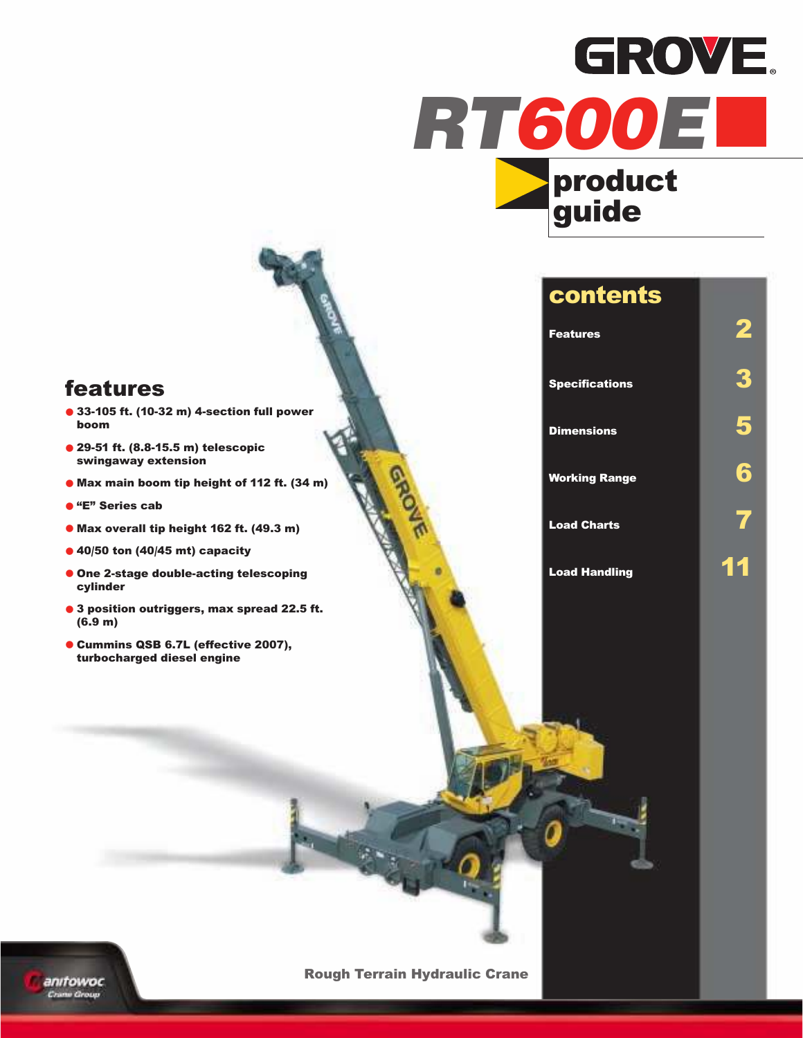



### contents

| <b>Features</b>       |    |
|-----------------------|----|
| <b>Specifications</b> | 3  |
| <b>Dimensions</b>     |    |
| <b>Working Range</b>  |    |
| <b>Load Charts</b>    |    |
| <b>Load Handling</b>  | 11 |

### features

- **•** 33-105 ft. (10-32 m) 4-section full power boom
- **•** 29-51 ft. (8.8-15.5 m) telescopic swingaway extension
- **•** Max main boom tip height of 112 ft. (34 m)
- **•** "E" Series cab
- **•** Max overall tip height 162 ft. (49.3 m)
- **•** 40/50 ton (40/45 mt) capacity
- **•** One 2-stage double-acting telescoping cylinder
- **•** <sup>3</sup> position outriggers, max spread 22.5 ft. (6.9 m)
- **•** Cummins QSB 6.7L (effective 2007), turbocharged diesel engine



Rough Terrain Hydraulic Crane

GROVE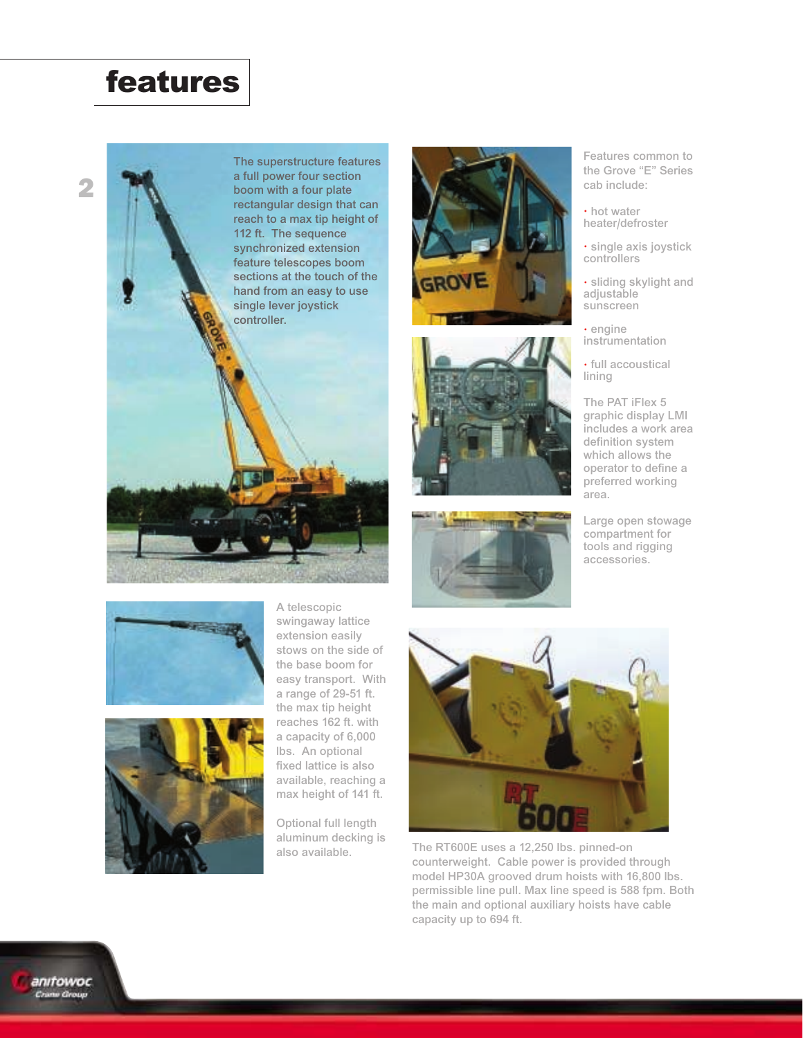### features



The superstructure features a full power four section boom with a four plate rectangular design that can reach to a max tip height of 112 ft. The sequence synchronized extension feature telescopes boom sections at the touch of the hand from an easy to use single lever joystick controller.







Features common to the Grove "E" Series cab include:

• hot water heater/defroster

• single axis joystick controllers

• sliding skylight and adjustable sunscreen

• engine instrumentation

• full accoustical lining

The PAT iFlex 5 graphic display LMI includes a work area definition system which allows the operator to define a preferred working area.

Large open stowage compartment for tools and rigging accessories.





A telescopic swingaway lattice extension easily stows on the side of the base boom for easy transport. With a range of 29-51 ft. the max tip height reaches 162 ft. with a capacity of 6,000 lbs. An optional fixed lattice is also available, reaching a max height of 141 ft.

Optional full length aluminum decking is also available.



The RT600E uses a 12,250 lbs. pinned-on counterweight. Cable power is provided through model HP30A grooved drum hoists with 16,800 lbs. permissible line pull. Max line speed is 588 fpm. Both the main and optional auxiliary hoists have cable capacity up to 694 ft.

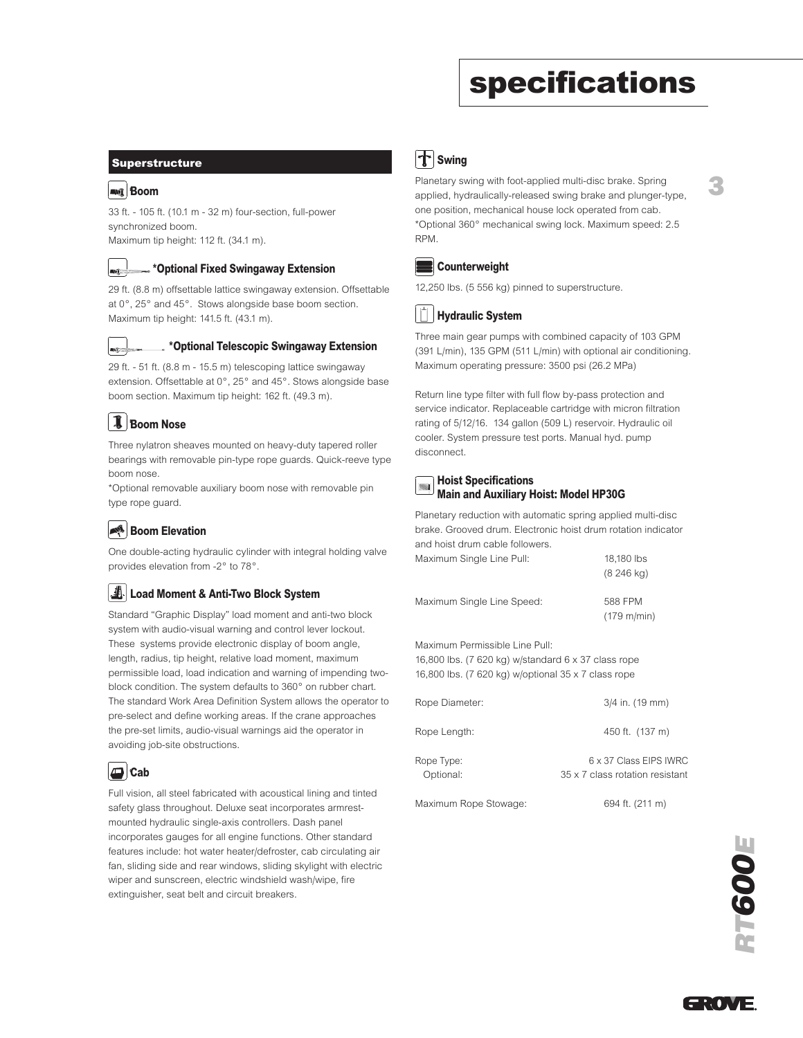### specifications

3

#### Superstructure

#### Boom **Boom**

33 ft. - 105 ft. (10.1 m - 32 m) four-section, full-power synchronized boom. Maximum tip height: 112 ft. (34.1 m).

#### \*Optional Fixed Swingaway Extension

29 ft. (8.8 m) offsettable lattice swingaway extension. Offsettable at 0°, 25° and 45°. Stows alongside base boom section. Maximum tip height: 141.5 ft. (43.1 m).



#### .. \*Optional Telescopic Swingaway Extension

29 ft. - 51 ft. (8.8 m - 15.5 m) telescoping lattice swingaway extension. Offsettable at 0°, 25° and 45°. Stows alongside base boom section. Maximum tip height: 162 ft. (49.3 m).

### Boom Nose **B**

Three nylatron sheaves mounted on heavy-duty tapered roller bearings with removable pin-type rope guards. Quick-reeve type boom nose.

\*Optional removable auxiliary boom nose with removable pin type rope guard.

#### Boom Elevation

One double-acting hydraulic cylinder with integral holding valve provides elevation from -2° to 78°.

#### Load Moment & Anti-Two Block System

Standard "Graphic Display" load moment and anti-two block system with audio-visual warning and control lever lockout. These systems provide electronic display of boom angle, length, radius, tip height, relative load moment, maximum permissible load, load indication and warning of impending twoblock condition. The system defaults to 360° on rubber chart. The standard Work Area Definition System allows the operator to pre-select and define working areas. If the crane approaches the pre-set limits, audio-visual warnings aid the operator in avoiding job-site obstructions.



Full vision, all steel fabricated with acoustical lining and tinted safety glass throughout. Deluxe seat incorporates armrestmounted hydraulic single-axis controllers. Dash panel incorporates gauges for all engine functions. Other standard features include: hot water heater/defroster, cab circulating air fan, sliding side and rear windows, sliding skylight with electric wiper and sunscreen, electric windshield wash/wipe, fire extinguisher, seat belt and circuit breakers.



Planetary swing with foot-applied multi-disc brake. Spring applied, hydraulically-released swing brake and plunger-type, one position, mechanical house lock operated from cab. \*Optional 360° mechanical swing lock. Maximum speed: 2.5 RPM.



12,250 lbs. (5 556 kg) pinned to superstructure.

#### Hydraulic System

Three main gear pumps with combined capacity of 103 GPM (391 L/min), 135 GPM (511 L/min) with optional air conditioning. Maximum operating pressure: 3500 psi (26.2 MPa)

Return line type filter with full flow by-pass protection and service indicator. Replaceable cartridge with micron filtration rating of 5/12/16. 134 gallon (509 L) reservoir. Hydraulic oil cooler. System pressure test ports. Manual hyd. pump disconnect.

#### Hoist Specifications Main and Auxiliary Hoist: Model HP30G

Planetary reduction with automatic spring applied multi-disc brake. Grooved drum. Electronic hoist drum rotation indicator and hoist drum cable followers. Maximum Single Line Pull: 18,180 lbs

(8 246 kg)

| Maximum Single Line Speed: | 588 FPM               |
|----------------------------|-----------------------|
|                            | $(179 \text{ m/min})$ |

Maximum Permissible Line Pull: 16,800 lbs. (7 620 kg) w/standard 6 x 37 class rope 16,800 lbs. (7 620 kg) w/optional 35 x 7 class rope

| Rope Diameter:          | 3/4 in. (19 mm)                                           |
|-------------------------|-----------------------------------------------------------|
| Rope Length:            | 450 ft. (137 m)                                           |
| Rope Type:<br>Optional: | 6 x 37 Class EIPS IWRC<br>35 x 7 class rotation resistant |
| Maximum Rope Stowage:   | 694 ft. (211 m)                                           |

RT600E

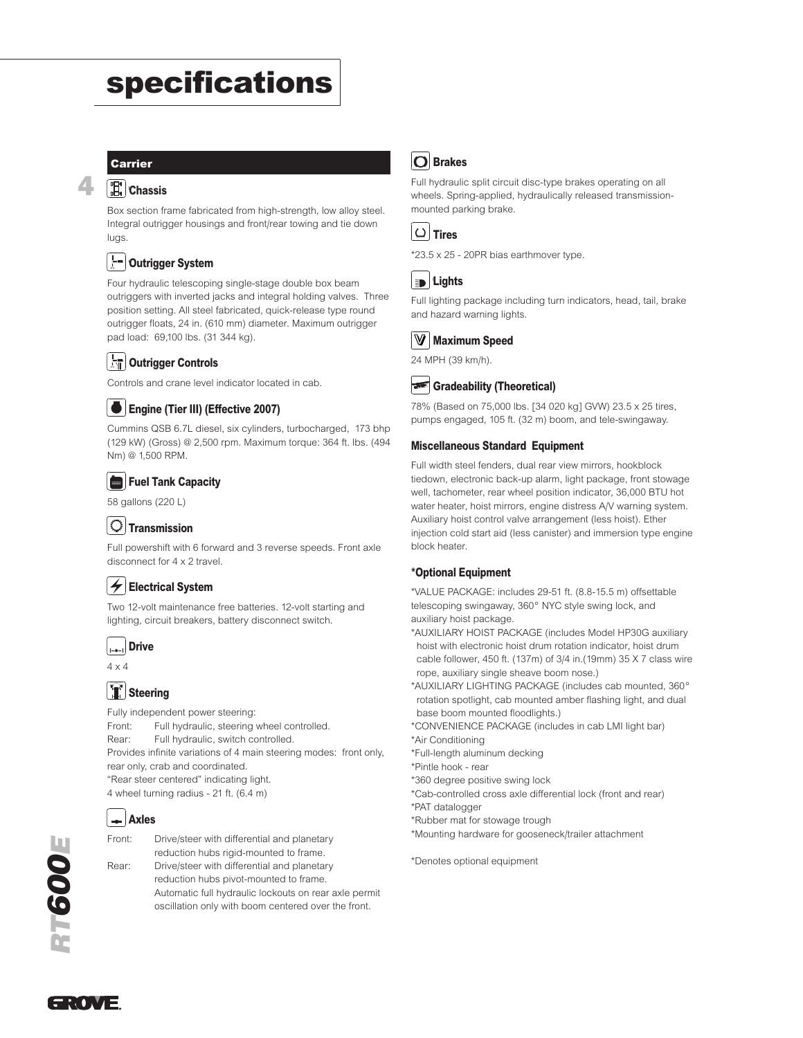### specifications

#### Carrier

4

#### **Chassis**

Box section frame fabricated from high-strength, low alloy steel. Integral outrigger housings and front/rear towing and tie down lugs.

#### 는데 Outrigger System **O**

Four hydraulic telescoping single-stage double box beam outriggers with inverted jacks and integral holding valves. Three position setting. All steel fabricated, quick-release type round outrigger floats, 24 in. (610 mm) diameter. Maximum outrigger pad load: 69,100 lbs. (31 344 kg).

#### Outrigger Controls

Controls and crane level indicator located in cab.

#### Engine (Tier III) (Effective 2007) **Engine**

Cummins QSB 6.7L diesel, six cylinders, turbocharged, 173 bhp (129 kW) (Gross) @ 2,500 rpm. Maximum torque: 364 ft. lbs. (494 Nm) @ 1,500 RPM.

#### Fuel Tank Capacity

58 gallons (220 L)

#### $|O|$ Transmission

Full powershift with 6 forward and 3 reverse speeds. Front axle disconnect for 4 x 2 travel.

#### Electrical System **E**

Two 12-volt maintenance free batteries. 12-volt starting and lighting, circuit breakers, battery disconnect switch.

#### Drive **Drive**

4 x 4

#### **T** Steering

Fully independent power steering: Front: Full hydraulic, steering wheel controlled. Rear: Full hydraulic, switch controlled. Provides infinite variations of 4 main steering modes: front only, rear only, crab and coordinated. "Rear steer centered" indicating light. 4 wheel turning radius - 21 ft. (6.4 m)



Front: Drive/steer with differential and planetary reduction hubs rigid-mounted to frame. Rear: Drive/steer with differential and planetary reduction hubs pivot-mounted to frame.

Automatic full hydraulic lockouts on rear axle permit oscillation only with boom centered over the front.

### **O** Brakes

Full hydraulic split circuit disc-type brakes operating on all wheels. Spring-applied, hydraulically released transmissionmounted parking brake.



```
*23.5 x 25 - 20PR bias earthmover type.
```
#### ED. Lights **Lights**

Full lighting package including turn indicators, head, tail, brake and hazard warning lights.



24 MPH (39 km/h).

#### Gradeability (Theoretical)

78% (Based on 75,000 lbs. [34 020 kg] GVW) 23.5 x 25 tires, pumps engaged, 105 ft. (32 m) boom, and tele-swingaway.

#### Miscellaneous Standard Equipment

Full width steel fenders, dual rear view mirrors, hookblock tiedown, electronic back-up alarm, light package, front stowage well, tachometer, rear wheel position indicator, 36,000 BTU hot water heater, hoist mirrors, engine distress A/V warning system. Auxiliary hoist control valve arrangement (less hoist). Ether injection cold start aid (less canister) and immersion type engine block heater.

#### \*Optional Equipment

\*VALUE PACKAGE: includes 29-51 ft. (8.8-15.5 m) offsettable telescoping swingaway, 360° NYC style swing lock, and auxiliary hoist package.

\*AUXILIARY HOIST PACKAGE (includes Model HP30G auxiliary hoist with electronic hoist drum rotation indicator, hoist drum cable follower, 450 ft. (137m) of 3/4 in.(19mm) 35 X 7 class wire rope, auxiliary single sheave boom nose.)

\*AUXILIARY LIGHTING PACKAGE (includes cab mounted, 360° rotation spotlight, cab mounted amber flashing light, and dual base boom mounted floodlights.)

\*CONVENIENCE PACKAGE (includes in cab LMI light bar) \*Air Conditioning

\*Full-length aluminum decking

\*Pintle hook - rear

\*360 degree positive swing lock

\*Cab-controlled cross axle differential lock (front and rear)

\*PAT datalogger

\*Rubber mat for stowage trough

\*Mounting hardware for gooseneck/trailer attachment

\*Denotes optional equipment



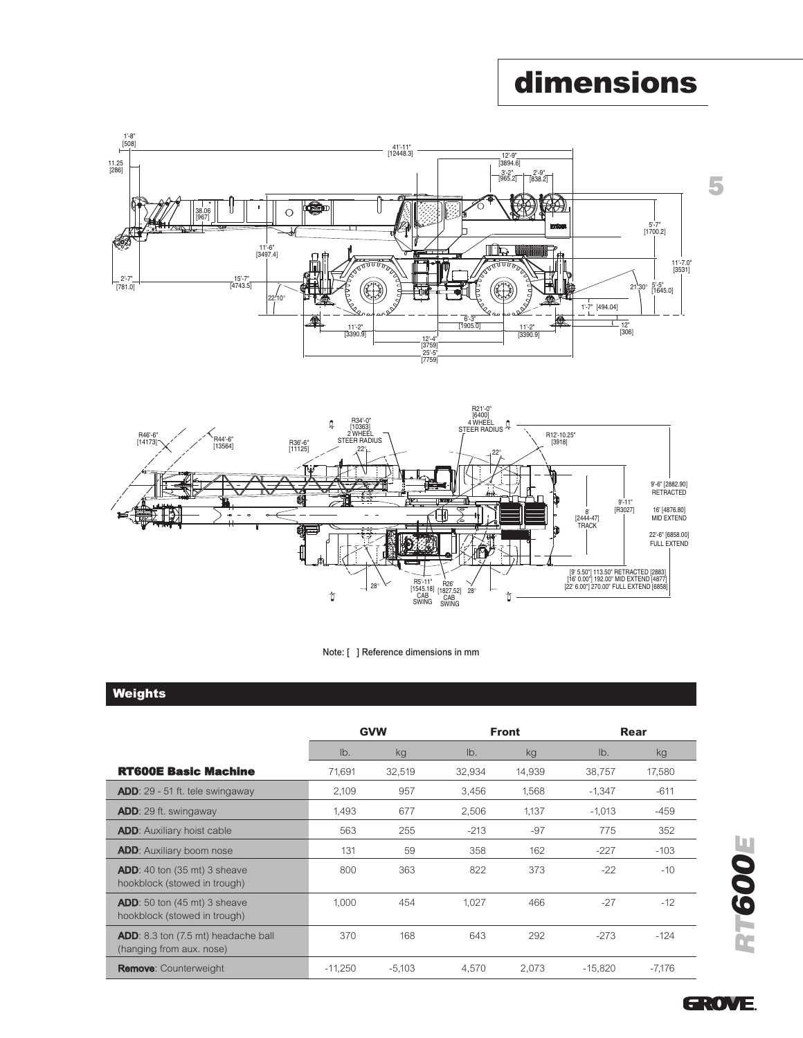### dimensions







#### **Weights**

|                                                                               | <b>GVW</b> |          |        | <b>Front</b> | Rear      |          |
|-------------------------------------------------------------------------------|------------|----------|--------|--------------|-----------|----------|
|                                                                               | Ib.        | kg       | lb.    | kg           | Ib.       | kg       |
| <b>RT600E Basic Machine</b>                                                   | 71.691     | 32,519   | 32,934 | 14,939       | 38,757    | 17,580   |
| <b>ADD:</b> 29 - 51 ft. tele swingaway                                        | 2,109      | 957      | 3,456  | 1.568        | $-1,347$  | $-611$   |
| <b>ADD:</b> 29 ft. swingaway                                                  | 1.493      | 677      | 2,506  | 1.137        | $-1,013$  | $-459$   |
| <b>ADD:</b> Auxiliary hoist cable                                             | 563        | 255      | $-213$ | -97          | 775       | 352      |
| <b>ADD:</b> Auxiliary boom nose                                               | 131        | 59       | 358    | 162          | $-227$    | $-103$   |
| <b>ADD:</b> 40 ton $(35 \text{ mt})$ 3 sheave<br>hookblock (stowed in trough) | 800        | 363      | 822    | 373          | $-22$     | $-10$    |
| <b>ADD:</b> 50 ton (45 mt) 3 sheave<br>hookblock (stowed in trough)           | 1,000      | 454      | 1,027  | 466          | $-27$     | $-12$    |
| <b>ADD</b> : 8.3 ton (7.5 mt) headache ball<br>(hanging from aux. nose)       | 370        | 168      | 643    | 292          | $-273$    | $-124$   |
| <b>Remove: Counterweight</b>                                                  | $-11.250$  | $-5.103$ | 4.570  | 2.073        | $-15.820$ | $-7.176$ |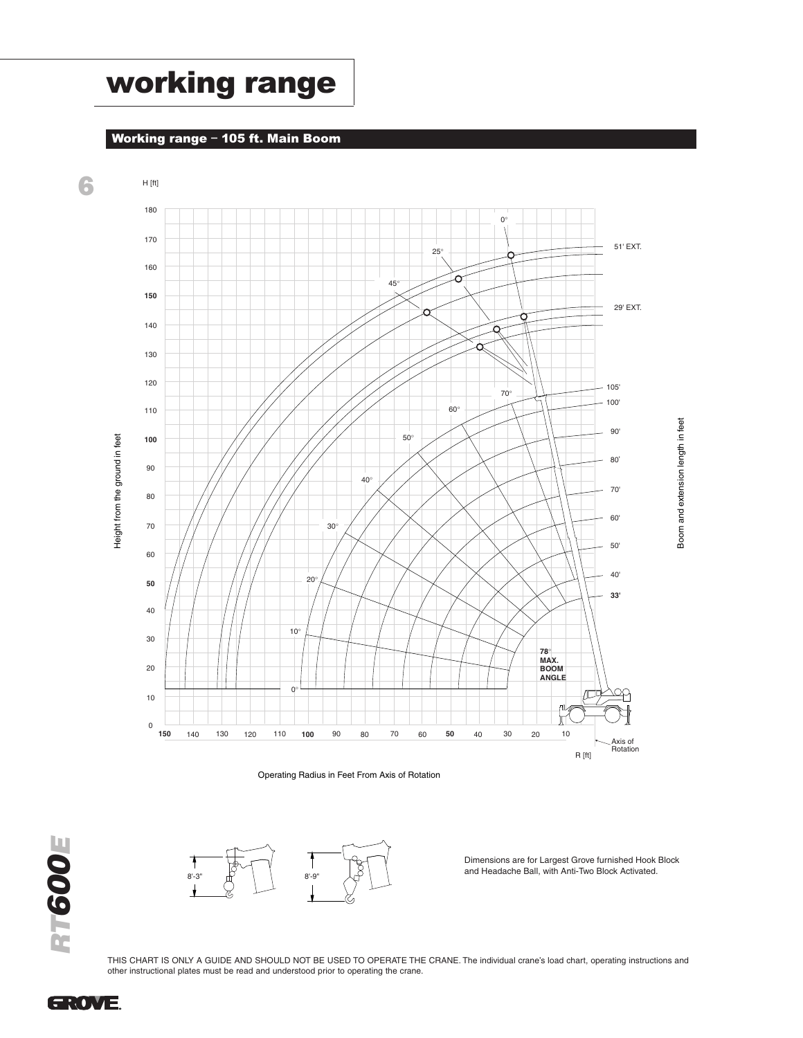### working range

#### Working range – 105 ft. Main Boom







8'-3" 8'-9"

Dimensions are for Largest Grove furnished Hook Block and Headache Ball, with Anti-Two Block Activated.

THIS CHART IS ONLY A GUIDE AND SHOULD NOT BE USED TO OPERATE THE CRANE. The individual crane's load chart, operating instructions and other instructional plates must be read and understood prior to operating the crane.

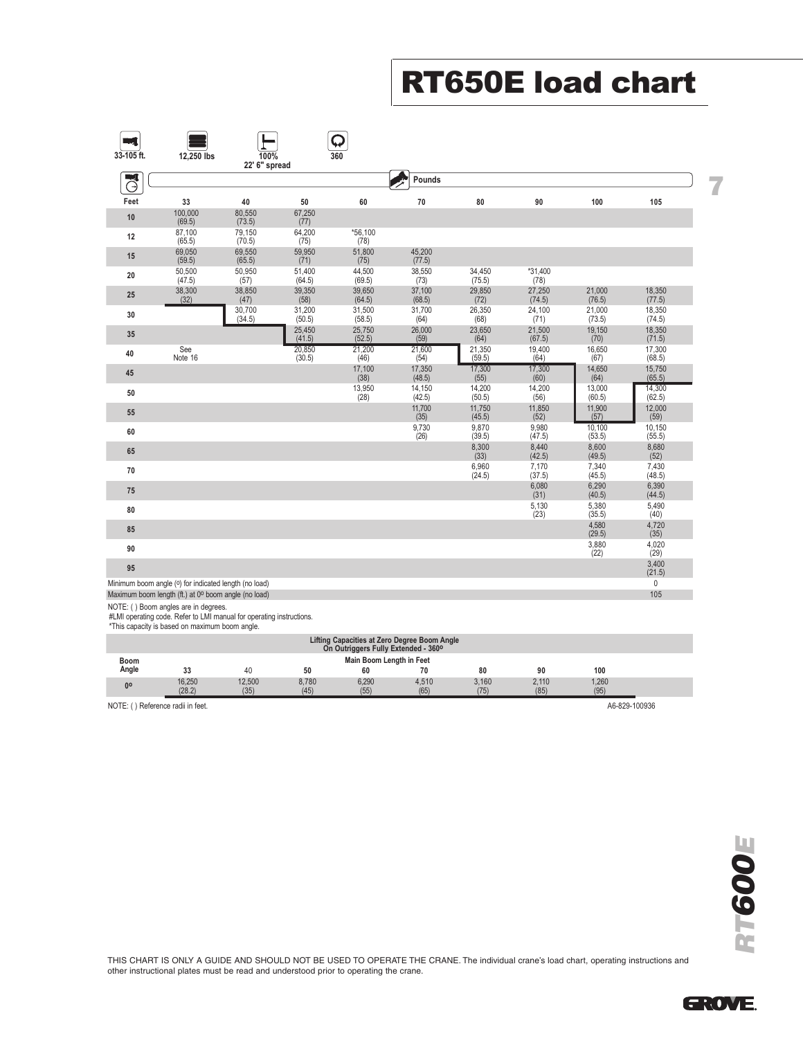## RT650E load chart

| 33-105 ft. | 12,250 lbs                                                                                                    | 100%<br>22' 6" spread |                  | Q<br>360         |                  |                  |                             |                             |                              |  |
|------------|---------------------------------------------------------------------------------------------------------------|-----------------------|------------------|------------------|------------------|------------------|-----------------------------|-----------------------------|------------------------------|--|
| ч<br>Θ     |                                                                                                               |                       |                  |                  | Pounds           |                  |                             |                             |                              |  |
| Feet       | 33                                                                                                            | 40                    | 50               | 60               | 70               | 80               | 90                          | 100                         | 105                          |  |
| 10         | 100,000<br>(69.5)                                                                                             | 80,550<br>(73.5)      | 67,250<br>(77)   |                  |                  |                  |                             |                             |                              |  |
| 12         | 87,100<br>(65.5)                                                                                              | 79,150<br>(70.5)      | 64,200<br>(75)   | *56,100<br>(78)  |                  |                  |                             |                             |                              |  |
| 15         | 69,050<br>(59.5)                                                                                              | 69,550<br>(65.5)      | 59,950<br>(71)   | 51,800<br>(75)   | 45,200<br>(77.5) |                  |                             |                             |                              |  |
| 20         | 50,500<br>(47.5)                                                                                              | 50,950<br>(57)        | 51,400<br>(64.5) | 44,500<br>(69.5) | 38,550<br>(73)   | 34,450<br>(75.5) | *31,400<br>(78)             |                             |                              |  |
| 25         | 38,300<br>(32)                                                                                                | 38,850<br>(47)        | 39,350<br>(58)   | 39,650<br>(64.5) | 37,100<br>(68.5) | 29,850<br>(72)   | 27,250<br>(74.5)            | 21,000<br>(76.5)            | 18,350<br>(77.5)             |  |
| 30         |                                                                                                               | 30,700<br>(34.5)      | 31,200<br>(50.5) | 31,500<br>(58.5) | 31,700<br>(64)   | 26,350<br>(68)   | 24,100<br>(71)              | 21,000<br>(73.5)            | 18,350<br>(74.5)             |  |
| 35         |                                                                                                               |                       | 25,450<br>(41.5) | 25,750<br>(52.5) | 26,000<br>(59)   | 23,650<br>(64)   | 21,500<br>(67.5)            | 19,150<br>(70)              | 18,350<br>(71.5)             |  |
| 40         | See<br>Note 16                                                                                                |                       | 20,850<br>(30.5) | 21,200<br>(46)   | 21,600<br>(54)   | 21,350<br>(59.5) | 19,400<br>(64)              | 16,650<br>(67)              | 17,300<br>(68.5)             |  |
| 45         |                                                                                                               |                       |                  | 17,100<br>(38)   | 17,350<br>(48.5) | 17,300<br>(55)   | 17,300<br>(60)              | 14,650<br>(64)              | 15,750<br>(65.5)             |  |
| 50         |                                                                                                               |                       |                  | 13,950<br>(28)   | 14,150<br>(42.5) | 14,200<br>(50.5) | 14,200<br>(56)              | 13,000<br>(60.5)            | 14,300<br>(62.5)             |  |
| 55         |                                                                                                               |                       |                  |                  | 11,700<br>(35)   | 11,750<br>(45.5) | 11,850<br>(52)              | 11,900<br>(57)              | 12,000<br>(59)               |  |
| 60         |                                                                                                               |                       |                  |                  | 9,730<br>(26)    | 9,870<br>(39.5)  | 9,980<br>(47.5)             | 10,100<br>(53.5)            | 10,150<br>(55.5)             |  |
| 65         |                                                                                                               |                       |                  |                  |                  | 8,300<br>(33)    | 8,440<br>(42.5)             | 8,600<br>(49.5)             | 8,680<br>(52)                |  |
| 70         |                                                                                                               |                       |                  |                  |                  | 6,960<br>(24.5)  | 7,170                       | 7,340<br>(45.5)             | 7,430<br>(48.5)              |  |
| 75         |                                                                                                               |                       |                  |                  |                  |                  | (37.5)<br>$6,080$<br>$(31)$ | 6,290                       | 6,390                        |  |
| 80         |                                                                                                               |                       |                  |                  |                  |                  | 5,130                       | (40.5)<br>5,380             | (44.5)<br>5,490              |  |
| 85         |                                                                                                               |                       |                  |                  |                  |                  | (23)                        | (35.5)<br>$4,580$<br>(29.5) | (40)<br>4,720                |  |
| 90         |                                                                                                               |                       |                  |                  |                  |                  |                             | 3,880                       | (35)<br>4,020                |  |
| 95         |                                                                                                               |                       |                  |                  |                  |                  |                             | (22)                        | (29)<br>3,400                |  |
|            | Minimum boom angle (0) for indicated length (no load)<br>Maximum boom length (ft.) at 0° boom angle (no load) |                       |                  |                  |                  |                  |                             |                             | (21.5)<br>$\mathbf 0$<br>105 |  |

NOTE: ( ) Boom angles are in degrees. #LMI operating code. Refer to LMI manual for operating instructions. \*This capacity is based on maximum boom angle.

|                                                                                     |                                                    | . .    |       |       |       |       |       |       |  |  |
|-------------------------------------------------------------------------------------|----------------------------------------------------|--------|-------|-------|-------|-------|-------|-------|--|--|
| Lifting Capacities at Zero Degree Boom Angle<br>On Outriggers Fully Extended - 360° |                                                    |        |       |       |       |       |       |       |  |  |
| Main Boom Length in Feet<br><b>Boom</b>                                             |                                                    |        |       |       |       |       |       |       |  |  |
| Angle                                                                               | 33                                                 | 40     | 50    | 60    |       | 80    | 90    | 100   |  |  |
| 0 <sup>o</sup>                                                                      | 16,250                                             | 12,500 | 8.780 | 6.290 | 4.510 | 3.160 | 2.110 | 1.260 |  |  |
|                                                                                     | (28.2)                                             | (35)   | (45)  | (55)  | (65)  | (75)  | (85)  | (95)  |  |  |
|                                                                                     | NOTE: () Reference radii in feet.<br>A6-829-100936 |        |       |       |       |       |       |       |  |  |

THIS CHART IS ONLY A GUIDE AND SHOULD NOT BE USED TO OPERATE THE CRANE. The individual crane's load chart, operating instructions and other instructional plates must be read and understood prior to operating the crane.

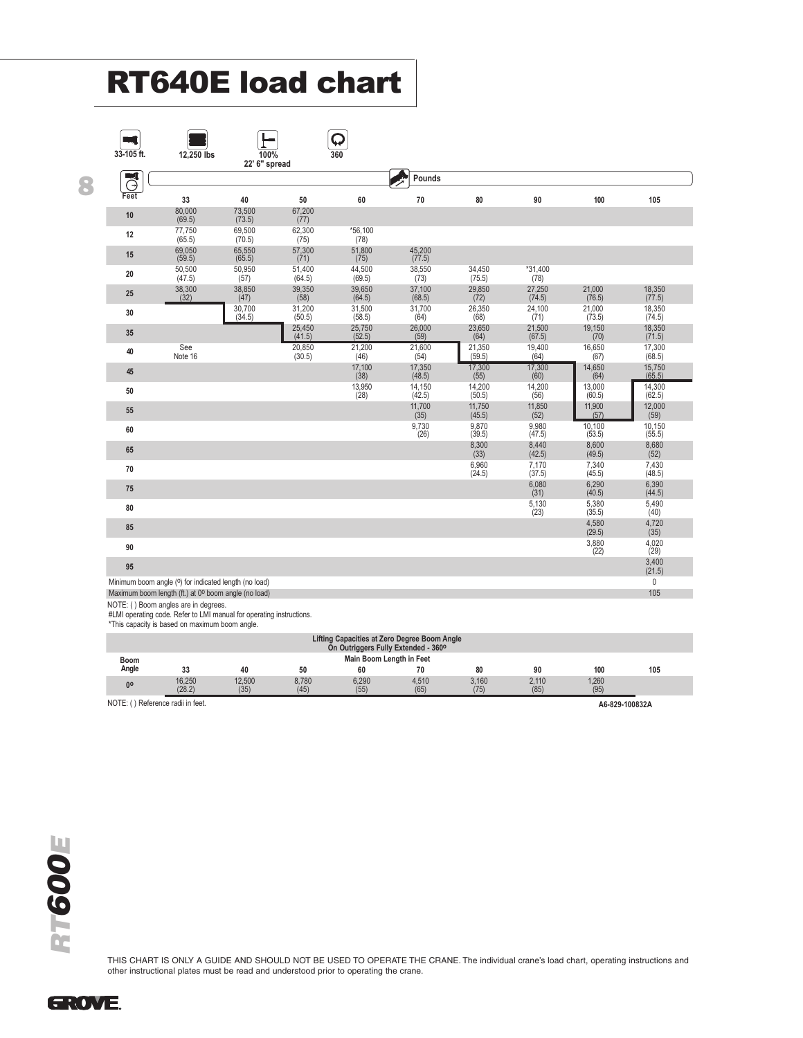# RT640E load chart

| 33-105 ft. | 12,250 lbs                                                                                                    | 100%<br>22' 6" spread |                  | 360                  |                  |                  |                   |                  |                    |
|------------|---------------------------------------------------------------------------------------------------------------|-----------------------|------------------|----------------------|------------------|------------------|-------------------|------------------|--------------------|
| $\vec{C}$  |                                                                                                               |                       |                  |                      | Pounds           |                  |                   |                  |                    |
| Feet       | 33                                                                                                            | 40                    | 50               | 60                   | 70               | 80               | 90                | 100              | 105                |
| 10         | 80,000<br>(69.5)                                                                                              | 73,500<br>(73.5)      | 67,200<br>(77)   |                      |                  |                  |                   |                  |                    |
| 12         | 77,750<br>(65.5)                                                                                              | 69,500<br>(70.5)      | 62,300<br>(75)   | $*56,100$<br>(78)    |                  |                  |                   |                  |                    |
| 15         | 69,050<br>(59.5)                                                                                              | 65,550<br>(65.5)      | 57,300<br>(71)   | 51,800<br>(75)       | 45,200<br>(77.5) |                  |                   |                  |                    |
| 20         | 50,500<br>(47.5)                                                                                              | 50,950<br>(57)        | 51,400<br>(64.5) | 44,500<br>(69.5)     | 38,550<br>(73)   | 34,450<br>(75.5) | $*31,400$<br>(78) |                  |                    |
| 25         | 38,300<br>(32)                                                                                                | 38,850<br>(47)        | $39,350$<br>(58) | 39,650<br>(64.5)     | 37,100<br>(68.5) | 29,850<br>(72)   | 27,250<br>(74.5)  | 21,000<br>(76.5) | 18,350<br>(77.5)   |
| 30         |                                                                                                               | 30,700<br>(34.5)      | 31,200<br>(50.5) | $31,500$<br>$(58.5)$ | 31,700<br>(64)   | 26,350<br>(68)   | 24,100<br>(71)    | 21,000<br>(73.5) | 18,350<br>(74.5)   |
| 35         |                                                                                                               |                       | 25,450<br>(41.5) | 25,750<br>(52.5)     | 26,000<br>(59)   | 23,650<br>(64)   | 21,500<br>(67.5)  | 19,150<br>(70)   | 18,350<br>(71.5)   |
| 40         | See<br>Note 16                                                                                                |                       | 20,850<br>(30.5) | 21,200<br>(46)       | 21,600<br>(54)   | 21,350<br>(59.5) | 19,400<br>(64)    | 16,650<br>(67)   | 17,300<br>(68.5)   |
| 45         |                                                                                                               |                       |                  | 17,100<br>(38)       | 17,350<br>(48.5) | 17,300<br>(55)   | 17,300<br>(60)    | 14,650<br>(64)   | $15,750$<br>(65.5) |
| $50\,$     |                                                                                                               |                       |                  | 13,950<br>(28)       | 14,150<br>(42.5) | 14,200<br>(50.5) | 14,200<br>(56)    | 13,000<br>(60.5) | 14,300<br>(62.5)   |
| 55         |                                                                                                               |                       |                  |                      | 11,700<br>(35)   | 11,750<br>(45.5) | 11,850<br>(52)    | 11,900<br>(57)   | 12,000<br>(59)     |
| 60         |                                                                                                               |                       |                  |                      | 9,730<br>(26)    | 9,870<br>(39.5)  | 9,980<br>(47.5)   | 10,100<br>(53.5) | 10,150<br>(55.5)   |
| 65         |                                                                                                               |                       |                  |                      |                  | 8,300<br>(33)    | 8,440<br>(42.5)   | 8,600<br>(49.5)  | 8,680<br>(52)      |
| 70         |                                                                                                               |                       |                  |                      |                  | 6,960<br>(24.5)  | 7,170<br>(37.5)   | 7,340<br>(45.5)  | 7,430<br>(48.5)    |
| 75         |                                                                                                               |                       |                  |                      |                  |                  | 6,080<br>(31)     | 6,290<br>(40.5)  | 6,390<br>(44.5)    |
| 80         |                                                                                                               |                       |                  |                      |                  |                  | 5,130<br>(23)     | 5,380<br>(35.5)  | 5,490<br>(40)      |
| 85         |                                                                                                               |                       |                  |                      |                  |                  |                   | 4,580<br>(29.5)  | 4,720<br>(35)      |
| 90         |                                                                                                               |                       |                  |                      |                  |                  |                   | 3,880<br>(22)    | 4,020<br>(29)      |
| 95         |                                                                                                               |                       |                  |                      |                  |                  |                   |                  | 3,400<br>(21.5)    |
|            | Minimum boom angle (0) for indicated length (no load)<br>Maximum boom length (ft.) at 0° boom angle (no load) |                       |                  |                      |                  |                  |                   |                  | $\mathbf 0$<br>105 |

NOTE: ( ) Boom angles are in degrees. #LMI operating code. Refer to LMI manual for operating instructions. \*This capacity is based on maximum boom angle.

| <b>Lifting Capacities at Zero Degree Boom Angle</b><br>On Outriggers Fully Extended - 360° |                                                     |                |               |               |               |               |               |               |     |
|--------------------------------------------------------------------------------------------|-----------------------------------------------------|----------------|---------------|---------------|---------------|---------------|---------------|---------------|-----|
| Main Boom Length in Feet<br><b>Boom</b>                                                    |                                                     |                |               |               |               |               |               |               |     |
| Angle                                                                                      | 33                                                  | 40             | 50            | 60            | 70            | 80            | 90            | 100           | 105 |
| <b>no</b>                                                                                  | 16,250<br>(28.2)                                    | 12,500<br>(35) | 8.780<br>(45) | 6.290<br>(55) | 4,510<br>(65) | 3,160<br>(75) | 2.110<br>(85) | 1.260<br>(95) |     |
|                                                                                            | NOTE: () Reference radii in feet.<br>A6-829-100832A |                |               |               |               |               |               |               |     |
|                                                                                            |                                                     |                |               |               |               |               |               |               |     |

THIS CHART IS ONLY A GUIDE AND SHOULD NOT BE USED TO OPERATE THE CRANE. The individual crane's load chart, operating instructions and other instructional plates must be read and understood prior to operating the crane.

**GROVE.**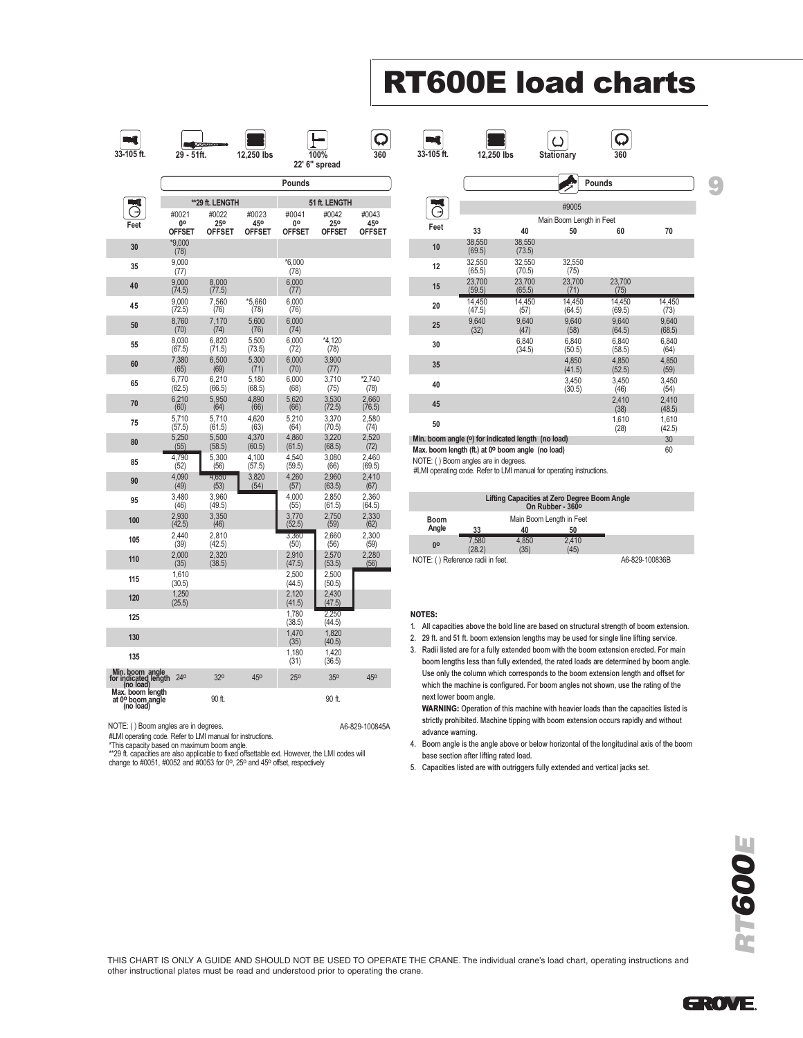# RT600E load charts

 $\circ$ 

Q

**33-105 ft. 12,250 lbs Stationary 360**

**THE** 



NOTE: ( ) Boom angles are in degrees. A6-829-100845A

#LMI operating code. Refer to LMI manual for instructions.

\*This capacity based on maximum boom angle.

\*\*29 ft. capacities are also applicable to fixed offsettable ext. However, the LMI codes will change to #0051, #0052 and #0053 for 0o, 25o and 45o offset, respectively

|      |                                      |                                                    |                          | Pounds           |                 |
|------|--------------------------------------|----------------------------------------------------|--------------------------|------------------|-----------------|
|      |                                      |                                                    | #9005                    |                  |                 |
|      |                                      |                                                    | Main Boom Length in Feet |                  |                 |
| Feet | 33                                   | 40                                                 | 50                       | 60               | 70              |
| 10   | 38.550<br>(69.5)                     | 38,550<br>(73.5)                                   |                          |                  |                 |
| 12   | 32.550<br>(65.5)                     | 32.550<br>(70.5)                                   | 32,550<br>(75)           |                  |                 |
| 15   | 23.700<br>(59.5)                     | 23,700<br>(65.5)                                   | 23,700<br>(71)           | 23,700<br>(75)   |                 |
| 20   | 14.450<br>(47.5)                     | 14,450<br>(57)                                     | 14,450<br>(64.5)         | 14,450<br>(69.5) | 14,450<br>(73)  |
| 25   | 9.640<br>(32)                        | 9,640<br>(47)                                      | 9.640<br>(58)            | 9.640<br>(64.5)  | 9,640<br>(68.5) |
| 30   |                                      | 6.840<br>(34.5)                                    | 6.840<br>(50.5)          | 6.840<br>(58.5)  | 6.840<br>(64)   |
| 35   |                                      |                                                    | 4.850<br>(41.5)          | 4.850<br>(52.5)  | 4.850<br>(59)   |
| 40   |                                      |                                                    | 3.450<br>(30.5)          | 3.450<br>(46)    | 3.450<br>(54)   |
| 45   |                                      |                                                    |                          | 2.410<br>(38)    | 2.410<br>(48.5) |
| 50   |                                      |                                                    |                          | 1.610<br>(28)    | 1.610<br>(42.5) |
|      |                                      | Min. boom angle (°) for indicated length (no load) |                          |                  | 30              |
|      |                                      | Max. boom length (ft.) at 0° boom angle (no load)  |                          |                  | 60              |
|      | NOTE: () Boom angles are in degrees. |                                                    |                          |                  |                 |

#LMI operating code. Refer to LMI manual for operating instructions.

| Lifting Capacities at Zero Degree Boom Angle<br>On Rubber - 360° |                          |               |               |                |  |  |  |  |
|------------------------------------------------------------------|--------------------------|---------------|---------------|----------------|--|--|--|--|
| <b>Boom</b><br>Angle                                             | Main Boom Length in Feet |               |               |                |  |  |  |  |
|                                                                  | 33                       | 40            | 50            |                |  |  |  |  |
| 00                                                               | 7.580<br>(28.2)          | 4.850<br>(35) | 2.410<br>(45) |                |  |  |  |  |
| NOTE: () Reference radii in feet.                                |                          |               |               | A6-829-100836B |  |  |  |  |

#### NOTES:

- 1. All capacities above the bold line are based on structural strength of boom extension.
- 2. 29 ft. and 51 ft. boom extension lengths may be used for single line lifting service. 3. Radii listed are for a fully extended boom with the boom extension erected. For main
- boom lengths less than fully extended, the rated loads are determined by boom angle. Use only the column which corresponds to the boom extension length and offset for which the machine is configured. For boom angles not shown, use the rating of the next lower boom angle.

WARNING: Operation of this machine with heavier loads than the capacities listed is strictly prohibited. Machine tipping with boom extension occurs rapidly and without advance warning.

- 4. Boom angle is the angle above or below horizontal of the longitudinal axis of the boom base section after lifting rated load.
- 5. Capacities listed are with outriggers fully extended and vertical jacks set.

THIS CHART IS ONLY A GUIDE AND SHOULD NOT BE USED TO OPERATE THE CRANE. The individual crane's load chart, operating instructions and other instructional plates must be read and understood prior to operating the crane.



9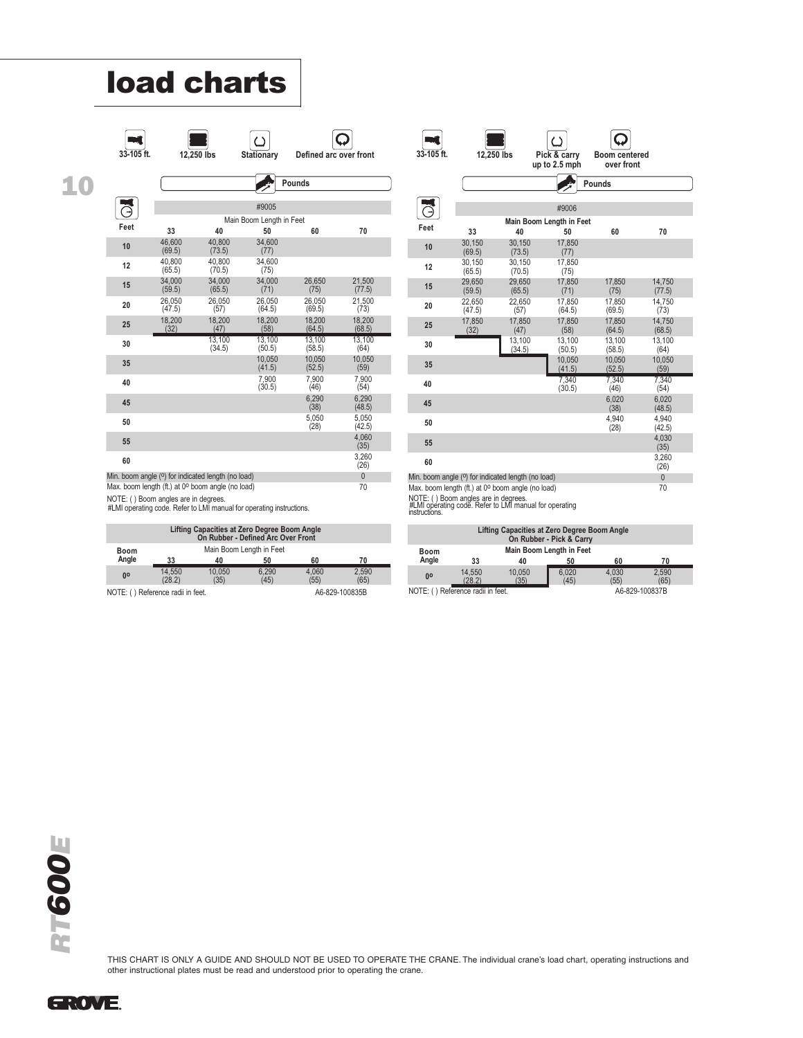# load charts



10

| 33-105 ft. | 12.250 lbs | <b>Stationary</b> | Defined arc over front |
|------------|------------|-------------------|------------------------|
|------------|------------|-------------------|------------------------|



 $\overline{\mathsf{Q}}$ 

|      |                  |                                                    |                                | Pounds           |                  |  |
|------|------------------|----------------------------------------------------|--------------------------------|------------------|------------------|--|
|      |                  |                                                    |                                |                  |                  |  |
|      |                  |                                                    | #9005                          |                  |                  |  |
| Feet | 33               | 40                                                 | Main Boom Length in Feet<br>50 | 60               | 70               |  |
| 10   | 46.600<br>(69.5) | 40.800<br>(73.5)                                   | 34.600<br>(77)                 |                  |                  |  |
| 12   | 40.800<br>(65.5) | 40.800<br>(70.5)                                   | 34.600<br>(75)                 |                  |                  |  |
| 15   | 34.000<br>(59.5) | 34.000<br>(65.5)                                   | 34.000<br>(71)                 | 26.650<br>(75)   | 21.500<br>(77.5) |  |
| 20   | 26.050<br>(47.5) | 26.050<br>(57)                                     | 26.050<br>(64.5)               | 26.050<br>(69.5) | 21.500<br>(73)   |  |
| 25   | 18,200<br>(32)   | 18.200<br>(47)                                     | 18.200<br>(58)                 | 18,200<br>(64.5) | 18.200<br>(68.5) |  |
| 30   |                  | 13.100<br>(34.5)                                   | 13.100<br>(50.5)               | 13.100<br>(58.5) | 13,100<br>(64)   |  |
| 35   |                  |                                                    | 10.050<br>(41.5)               | 10.050<br>(52.5) | 10.050<br>(59)   |  |
| 40   |                  |                                                    | 7.900<br>(30.5)                | 7.900<br>(46)    | 7.900<br>(54)    |  |
| 45   |                  |                                                    |                                | 6.290<br>(38)    | 6.290<br>(48.5)  |  |
| 50   |                  |                                                    |                                | 5.050<br>(28)    | 5.050<br>(42.5)  |  |
| 55   |                  |                                                    |                                |                  | 4.060<br>(35)    |  |
| 60   |                  |                                                    |                                |                  | 3,260<br>(26)    |  |
|      |                  | Min. boom angle (0) for indicated length (no load) |                                |                  | $\overline{0}$   |  |

| 33-105 ft. | 12.250 lbs       |                                                                 | r '<br>Pick & carry<br>up to 2.5 mph | <b>Boom centered</b><br>over front |                  |
|------------|------------------|-----------------------------------------------------------------|--------------------------------------|------------------------------------|------------------|
|            |                  |                                                                 |                                      | Pounds                             |                  |
|            |                  |                                                                 | #9006                                |                                    |                  |
|            |                  |                                                                 | Main Boom Length in Feet             |                                    |                  |
| Feet       | 33               | 40                                                              | 50                                   | 60                                 | 70               |
| 10         | 30,150<br>(69.5) | 30.150<br>(73.5)                                                | 17.850<br>(77)                       |                                    |                  |
| 12         | 30.150<br>(65.5) | 30.150<br>(70.5)                                                | 17,850<br>(75)                       |                                    |                  |
| 15         | 29.650<br>(59.5) | 29,650<br>(65.5)                                                | 17,850<br>(71)                       | 17,850<br>(75)                     | 14,750<br>(77.5) |
| 20         | 22,650<br>(47.5) | 22.650<br>(57)                                                  | 17.850<br>(64.5)                     | 17.850<br>(69.5)                   | 14.750<br>(73)   |
| 25         | 17,850<br>(32)   | 17,850<br>(47)                                                  | 17,850<br>(58)                       | 17.850<br>(64.5)                   | 14.750<br>(68.5) |
| 30         |                  | 13,100<br>(34.5)                                                | 13.100<br>(50.5)                     | 13,100<br>(58.5)                   | 13,100<br>(64)   |
| 35         |                  |                                                                 | 10,050<br>(41.5)                     | 10,050<br>(52.5)                   | 10,050<br>(59)   |
| 40         |                  |                                                                 | 7.340<br>(30.5)                      | 7.340<br>(46)                      | 7.340<br>(54)    |
| 45         |                  |                                                                 |                                      | 6.020<br>(38)                      | 6.020<br>(48.5)  |
| 50         |                  |                                                                 |                                      | 4.940<br>(28)                      | 4.940<br>(42.5)  |
| 55         |                  |                                                                 |                                      |                                    | 4.030<br>(35)    |
| 60         |                  |                                                                 |                                      |                                    | 3,260<br>(26)    |
|            |                  | Min. boom angle ( <sup>o</sup> ) for indicated length (no load) |                                      |                                    | $\overline{0}$   |

Max. boom length (ft.) at 0° boom angle (no load) 70

NOTE: ( ) Boom angles are in degrees. #LMI operating code. Refer to LMI manual for operating instructions.

| Lifting Capacities at Zero Degree Boom Angle<br>On Rubber - Pick & Carry |                  |                |                          |               |               |  |
|--------------------------------------------------------------------------|------------------|----------------|--------------------------|---------------|---------------|--|
| <b>Boom</b>                                                              |                  |                | Main Boom Length in Feet |               |               |  |
| Angle                                                                    | 33               | 40             | 50                       | 60            | 70            |  |
| 0 <sup>o</sup>                                                           | 14.550<br>(28.2) | 10.050<br>(35) | 6.020<br>(45)            | 4.030<br>(55) | 2.590<br>(65) |  |
| NOTE: () Reference radii in feet.<br>A6-829-100837B                      |                  |                |                          |               |               |  |

Max. boom length (ft.) at 0<sup>o</sup> boom angle (no load) example 30 70

NOTE: ( ) Boom angles are in degrees. #LMI operating code. Refer to LMI manual for operating instructions.

| Lifting Capacities at Zero Degree Boom Angle<br>On Rubber - Defined Arc Over Front |                  |                |               |               |               |
|------------------------------------------------------------------------------------|------------------|----------------|---------------|---------------|---------------|
| Main Boom Length in Feet<br><b>Boom</b>                                            |                  |                |               |               |               |
| Anale                                                                              | 33               | 40             | 50            | 60            | 70            |
| 0 <sup>o</sup>                                                                     | 14.550<br>(28.2) | 10.050<br>(35) | 6.290<br>(45) | 4.060<br>(55) | 2.590<br>(65) |
| A6-829-100835B<br>NOTE: () Reference radii in feet.                                |                  |                |               |               |               |

RT600E

THIS CHART IS ONLY A GUIDE AND SHOULD NOT BE USED TO OPERATE THE CRANE. The individual crane's load chart, operating instructions and other instructional plates must be read and understood prior to operating the crane.

GROVE.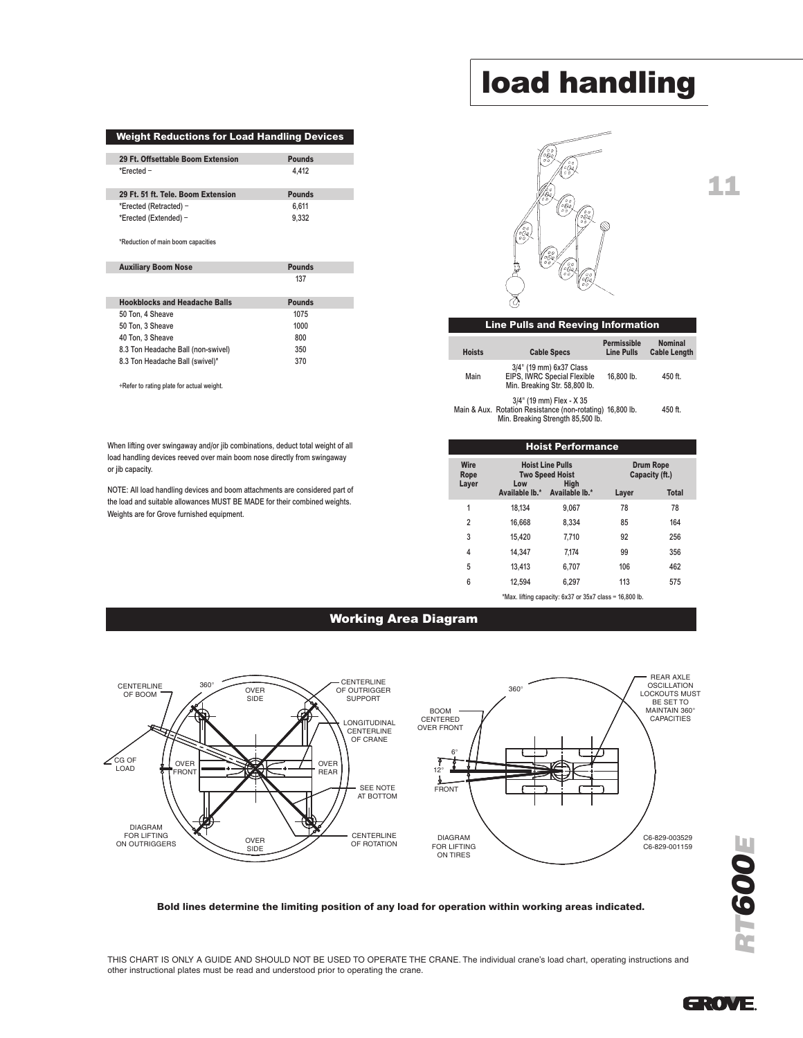#### Weight Reductions for Load Handling Devices

| 29 Ft. Offsettable Boom Extension  | <b>Pounds</b> |
|------------------------------------|---------------|
| *Frected $-$                       | 4.412         |
|                                    |               |
| 29 Ft. 51 ft. Tele. Boom Extension | <b>Pounds</b> |
| *Erected (Retracted) -             | 6.611         |

\*Reduction of main boom capacities

| <b>Auxiliary Boom Nose</b>           | <b>Pounds</b> |
|--------------------------------------|---------------|
|                                      | 137           |
| <b>Hookblocks and Headache Balls</b> | <b>Pounds</b> |
| 50 Ton, 4 Sheave                     | 1075          |
| 50 Ton, 3 Sheave                     | 1000          |
| 40 Ton, 3 Sheave                     | 800           |

8.3 Ton Headache Ball (non-swivel) 350<br>8.3 Ton Headache Ball (swivel)\* 370

8.3 Ton Headache Ball (swivel)\* +Refer to rating plate for actual weight.

When lifting over swingaway and/or jib combinations, deduct total weight of all load handling devices reeved over main boom nose directly from swingaway or jib capacity.

NOTE: All load handling devices and boom attachments are considered part of the load and suitable allowances MUST BE MADE for their combined weights. Weights are for Grove furnished equipment.

### load handling

11



| <b>Line Pulls and Reeving Information</b> |                                                                                         |                                         |                                       |  |  |
|-------------------------------------------|-----------------------------------------------------------------------------------------|-----------------------------------------|---------------------------------------|--|--|
| <b>Hoists</b>                             | <b>Cable Specs</b>                                                                      | <b>Permissible</b><br><b>Line Pulls</b> | <b>Nominal</b><br><b>Cable Length</b> |  |  |
| Main                                      | 3/4" (19 mm) 6x37 Class<br>EIPS, IWRC Special Flexible<br>Min. Breaking Str. 58,800 lb. | 16.800 lb.                              | 450 ft.                               |  |  |
|                                           | 3/4" (19 mm) Flex - X 35<br>in 8 Aux Dotation Penintango (non rotating) 16,900 lb       |                                         | $ABO +$                               |  |  |

Main & Aux. Rotation Resistance (non-rotating) 16,800 lb. 450 ft. Min. Breaking Strength 85,500 lb.

| <b>Hoist Performance</b> |                                                                  |                |                                    |              |  |  |  |
|--------------------------|------------------------------------------------------------------|----------------|------------------------------------|--------------|--|--|--|
| Wire<br>Rope<br>Layer    | <b>Hoist Line Pulls</b><br><b>Two Speed Hoist</b><br>High<br>Low |                | <b>Drum Rope</b><br>Capacity (ft.) |              |  |  |  |
|                          | Available lb.*                                                   | Available lb.* | Layer                              | <b>Total</b> |  |  |  |
| 1                        | 18.134                                                           | 9.067          | 78                                 | 78           |  |  |  |
| $\overline{2}$           | 16.668                                                           | 8.334          | 85                                 | 164          |  |  |  |
| 3                        | 15,420                                                           | 7.710          | 92                                 | 256          |  |  |  |
| 4                        | 14.347                                                           | 7.174          | 99                                 | 356          |  |  |  |
| 5                        | 13.413                                                           | 6.707          | 106                                | 462          |  |  |  |
| 6                        | 12.594                                                           | 6,297          | 113                                | 575          |  |  |  |
|                          |                                                                  |                |                                    |              |  |  |  |

\*Max. lifting capacity: 6x37 or 35x7 class = 16,800 lb.

#### Working Area Diagram



Bold lines determine the limiting position of any load for operation within working areas indicated.

THIS CHART IS ONLY A GUIDE AND SHOULD NOT BE USED TO OPERATE THE CRANE. The individual crane's load chart, operating instructions and other instructional plates must be read and understood prior to operating the crane.